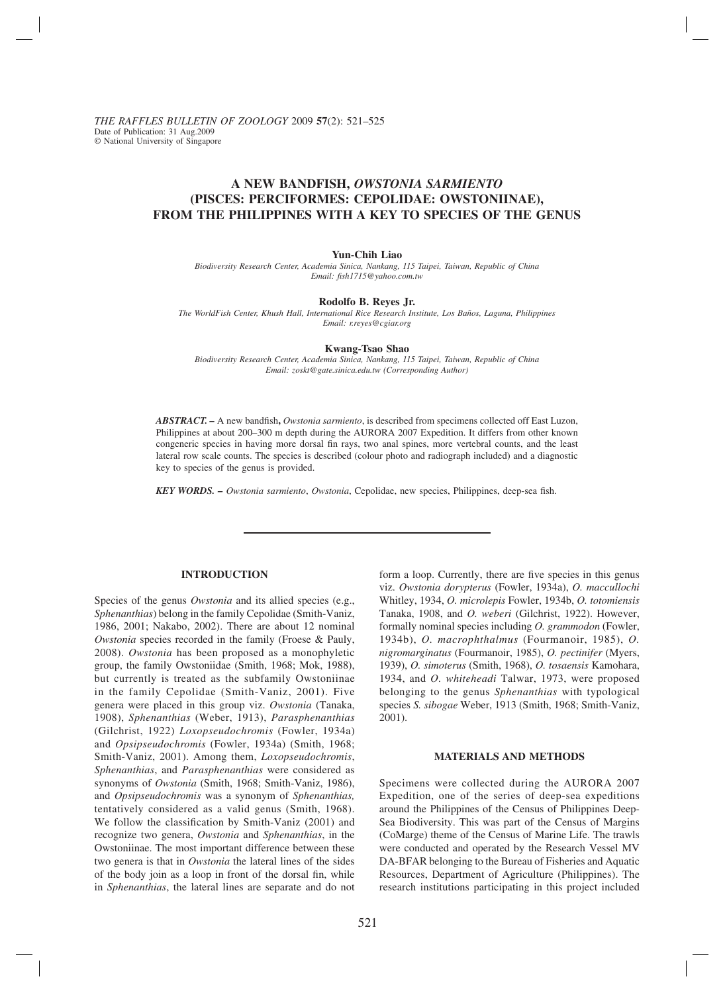# **A NEW BANDFISH,** *OWSTONIA SARMIENTO* **(PISCES: PERCIFORMES: CEPOLIDAE: OWSTONIINAE), FROM THE PHILIPPINES WITH A KEY TO SPECIES OF THE GENUS**

#### **Yun-Chih Liao**

*Biodiversity Research Center, Academia Sinica, Nankang, 115 Taipei, Taiwan, Republic of China Email: fi sh1715@yahoo.com.tw*

### **Rodolfo B. Reyes Jr.**

*The WorldFish Center, Khush Hall, International Rice Research Institute, Los Baños, Laguna, Philippines Email: r.reyes@cgiar.org*

#### **Kwang-Tsao Shao**

*Biodiversity Research Center, Academia Sinica, Nankang, 115 Taipei, Taiwan, Republic of China Email: zoskt@gate.sinica.edu.tw (Corresponding Author)*

*ABSTRACT.* – A new bandfish, *Owstonia sarmiento*, is described from specimens collected off East Luzon, Philippines at about 200–300 m depth during the AURORA 2007 Expedition. It differs from other known congeneric species in having more dorsal fin rays, two anal spines, more vertebral counts, and the least lateral row scale counts. The species is described (colour photo and radiograph included) and a diagnostic key to species of the genus is provided.

*KEY WORDS. – Owstonia sarmiento, Owstonia*, Cepolidae, new species, Philippines, deep-sea fish.

## **INTRODUCTION**

Species of the genus *Owstonia* and its allied species (e.g., *Sphenanthias*) belong in the family Cepolidae (Smith-Vaniz, 1986, 2001; Nakabo, 2002). There are about 12 nominal *Owstonia* species recorded in the family (Froese & Pauly, 2008). *Owstonia* has been proposed as a monophyletic group, the family Owstoniidae (Smith, 1968; Mok, 1988), but currently is treated as the subfamily Owstoniinae in the family Cepolidae (Smith-Vaniz, 2001). Five genera were placed in this group viz. *Owstonia* (Tanaka, 1908), *Sphenanthias* (Weber, 1913), *Parasphenanthias* (Gilchrist, 1922) *Loxopseudochromis* (Fowler, 1934a) and *Opsipseudochromis* (Fowler, 1934a) (Smith, 1968; Smith-Vaniz, 2001). Among them, *Loxopseudochromis*, *Sphenanthias*, and *Parasphenanthias* were considered as synonyms of *Owstonia* (Smith, 1968; Smith-Vaniz, 1986), and *Opsipseudochromis* was a synonym of *Sphenanthias,* tentatively considered as a valid genus (Smith, 1968). We follow the classification by Smith-Vaniz (2001) and recognize two genera, *Owstonia* and *Sphenanthias*, in the Owstoniinae. The most important difference between these two genera is that in *Owstonia* the lateral lines of the sides of the body join as a loop in front of the dorsal fin, while in *Sphenanthias*, the lateral lines are separate and do not form a loop. Currently, there are five species in this genus viz. *Owstonia dorypterus* (Fowler, 1934a), *O. maccullochi* Whitley, 1934, *O. microlepis* Fowler, 1934b, *O. totomiensis* Tanaka, 1908, and *O. weberi* (Gilchrist, 1922). However, formally nominal species including *O. grammodon* (Fowler, 1934b), *O. macrophthalmus* (Fourmanoir, 1985), *O. nigromarginatus* (Fourmanoir, 1985), *O. pectinifer* (Myers, 1939), *O. simoterus* (Smith, 1968), *O. tosaensis* Kamohara, 1934, and *O. whiteheadi* Talwar, 1973, were proposed belonging to the genus *Sphenanthias* with typological species *S. sibogae* Weber, 1913 (Smith, 1968; Smith-Vaniz, 2001).

## **MATERIALS AND METHODS**

Specimens were collected during the AURORA 2007 Expedition, one of the series of deep-sea expeditions around the Philippines of the Census of Philippines Deep-Sea Biodiversity. This was part of the Census of Margins (CoMarge) theme of the Census of Marine Life. The trawls were conducted and operated by the Research Vessel MV DA-BFAR belonging to the Bureau of Fisheries and Aquatic Resources, Department of Agriculture (Philippines). The research institutions participating in this project included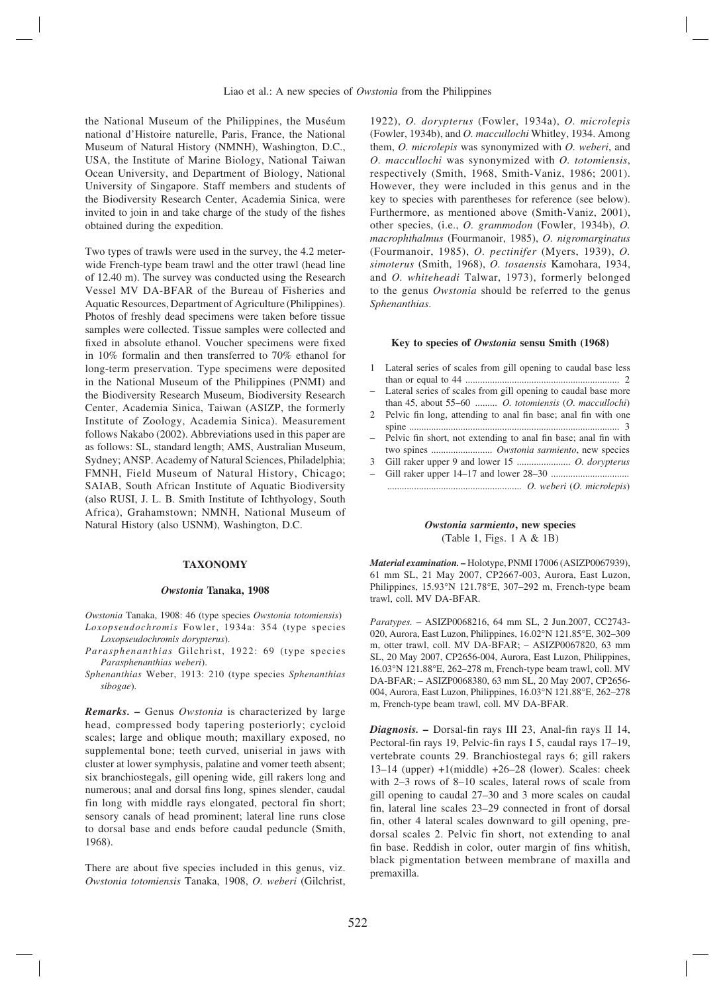the National Museum of the Philippines, the Muséum national d'Histoire naturelle, Paris, France, the National Museum of Natural History (NMNH), Washington, D.C., USA, the Institute of Marine Biology, National Taiwan Ocean University, and Department of Biology, National University of Singapore. Staff members and students of the Biodiversity Research Center, Academia Sinica, were invited to join in and take charge of the study of the fishes obtained during the expedition.

Two types of trawls were used in the survey, the 4.2 meterwide French-type beam trawl and the otter trawl (head line of 12.40 m). The survey was conducted using the Research Vessel MV DA-BFAR of the Bureau of Fisheries and Aquatic Resources, Department of Agriculture (Philippines). Photos of freshly dead specimens were taken before tissue samples were collected. Tissue samples were collected and fixed in absolute ethanol. Voucher specimens were fixed in 10% formalin and then transferred to 70% ethanol for long-term preservation. Type specimens were deposited in the National Museum of the Philippines (PNMI) and the Biodiversity Research Museum, Biodiversity Research Center, Academia Sinica, Taiwan (ASIZP, the formerly Institute of Zoology, Academia Sinica). Measurement follows Nakabo (2002). Abbreviations used in this paper are as follows: SL, standard length; AMS, Australian Museum, Sydney; ANSP. Academy of Natural Sciences, Philadelphia; FMNH, Field Museum of Natural History, Chicago; SAIAB, South African Institute of Aquatic Biodiversity (also RUSI, J. L. B. Smith Institute of Ichthyology, South Africa), Grahamstown; NMNH, National Museum of Natural History (also USNM), Washington, D.C.

#### **TAXONOMY**

#### *Owstonia* **Tanaka, 1908**

*Owstonia* Tanaka, 1908: 46 (type species *Owstonia totomiensis*) *Loxopseudochromis* Fowler, 1934a: 354 (type species *Loxopseudochromis dorypterus*).

*Parasphenanthias* Gilchrist, 1922: 69 (type species *Parasphenanthias weberi*).

*Sphenanthias* Weber, 1913: 210 (type species *Sphenanthias sibogae*).

*Remarks. –* Genus *Owstonia* is characterized by large head, compressed body tapering posteriorly; cycloid scales; large and oblique mouth; maxillary exposed, no supplemental bone; teeth curved, uniserial in jaws with cluster at lower symphysis, palatine and vomer teeth absent; six branchiostegals, gill opening wide, gill rakers long and numerous; anal and dorsal fins long, spines slender, caudal fin long with middle rays elongated, pectoral fin short; sensory canals of head prominent; lateral line runs close to dorsal base and ends before caudal peduncle (Smith, 1968).

There are about five species included in this genus, viz. *Owstonia totomiensis* Tanaka, 1908, *O. weberi* (Gilchrist,

1922), *O. dorypterus* (Fowler, 1934a), *O. microlepis* (Fowler, 1934b), and *O. maccullochi* Whitley, 1934. Among them, *O. microlepis* was synonymized with *O. weberi*, and *O. maccullochi* was synonymized with *O. totomiensis*, respectively (Smith, 1968, Smith-Vaniz, 1986; 2001). However, they were included in this genus and in the key to species with parentheses for reference (see below). Furthermore, as mentioned above (Smith-Vaniz, 2001), other species, (i.e., *O. grammodon* (Fowler, 1934b), *O. macrophthalmus* (Fourmanoir, 1985), *O. nigromarginatus*  (Fourmanoir, 1985), *O. pectinifer* (Myers, 1939), *O. simoterus* (Smith, 1968), *O. tosaensis* Kamohara, 1934, and *O. whiteheadi* Talwar, 1973), formerly belonged to the genus *Owstonia* should be referred to the genus *Sphenanthias*.

#### **Key to species of** *Owstonia* **sensu Smith (1968)**

| 1 Lateral series of scales from gill opening to caudal base less |  |
|------------------------------------------------------------------|--|
|                                                                  |  |

- Lateral series of scales from gill opening to caudal base more than 45, about 55–60 ......... *O. totomiensis* (*O. maccullochi*)
- 2 Pelvic fin long, attending to anal fin base; anal fin with one spine ...................................................................................... 3
- Pelvic fin short, not extending to anal fin base; anal fin with two spines ......................... *Owstonia sarmiento*, new species
- 3 Gill raker upper 9 and lower 15 ...................... *O. dorypterus*
- Gill raker upper 14–17 and lower 28–30 ................................ ....................................................... *O. weberi* (*O. microlepis*)

## *Owstonia sarmiento***, new species** (Table 1, Figs. 1 A & 1B)

*Material examination. –* Holotype, PNMI 17006 (ASIZP0067939), 61 mm SL, 21 May 2007, CP2667-003, Aurora, East Luzon, Philippines, 15.93°N 121.78°E, 307–292 m, French-type beam trawl, coll. MV DA-BFAR.

*Paratypes. –* ASIZP0068216, 64 mm SL, 2 Jun.2007, CC2743- 020, Aurora, East Luzon, Philippines, 16.02°N 121.85°E, 302–309 m, otter trawl, coll. MV DA-BFAR; – ASIZP0067820, 63 mm SL, 20 May 2007, CP2656-004, Aurora, East Luzon, Philippines, 16.03°N 121.88°E, 262–278 m, French-type beam trawl, coll. MV DA-BFAR; – ASIZP0068380, 63 mm SL, 20 May 2007, CP2656- 004, Aurora, East Luzon, Philippines, 16.03°N 121.88°E, 262–278 m, French-type beam trawl, coll. MV DA-BFAR.

*Diagnosis.* – Dorsal-fin rays III 23, Anal-fin rays II 14, Pectoral-fin rays 19, Pelvic-fin rays I 5, caudal rays 17-19, vertebrate counts 29. Branchiostegal rays 6; gill rakers 13–14 (upper) +1(middle) +26–28 (lower). Scales: cheek with 2–3 rows of 8–10 scales, lateral rows of scale from gill opening to caudal 27–30 and 3 more scales on caudal fin, lateral line scales 23–29 connected in front of dorsal fin, other 4 lateral scales downward to gill opening, predorsal scales 2. Pelvic fin short, not extending to anal fin base. Reddish in color, outer margin of fins whitish, black pigmentation between membrane of maxilla and premaxilla.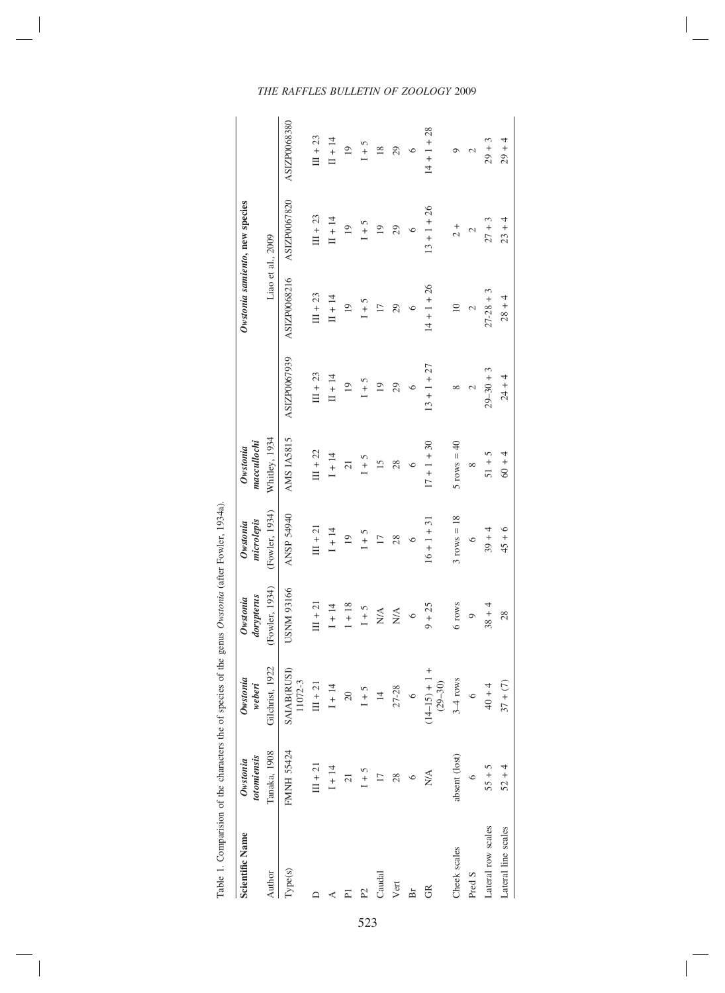| ć                         |
|---------------------------|
| ļ                         |
|                           |
|                           |
| ١                         |
| $\frac{1}{2}$             |
|                           |
| $\frac{6}{1}$             |
|                           |
| $\ddot{\phantom{0}}$<br>1 |
|                           |
| .<br>ا                    |
| l                         |
| $\ddot{\phantom{a}}$<br>l |
|                           |
| ۱<br>J<br>١<br>í          |

| <b>Scientific Name</b> | totomiensis<br>Owstonia | Owstonia<br>weberi             | dorypterus<br>Owstonia          | microlepis<br>Owstonia | maccullochi<br>Owstonia |                |                 | Owstonia samiento, new species |                |
|------------------------|-------------------------|--------------------------------|---------------------------------|------------------------|-------------------------|----------------|-----------------|--------------------------------|----------------|
| Author                 | Tanaka, 1908            | Gilchrist, 1922                | (Fowler, 1934)                  | (Fowler, 1934)         | Whitley, 1934           |                |                 | Liao et al., 2009              |                |
| Type(s)                | FMNH 55424              | <b>SAIAB(RUSI)</b><br>11072-3  | USNM 93166                      | ANSP 54940             | AMS IA5815              | ASIZP0067939   | ASIZP0068216    | ASIZP0067820                   | ASIZP0068380   |
|                        | $III + 21$              | $III + 21$                     | $III + 21$                      | $III + 2I$             | $III + 22$              | $III + 23$     | $III + 23$      | $III + 23$                     | $III + 23$     |
|                        | $1 + 14$                | $1 + 14$                       | $1 + 14$                        | $1 + 14$               | $1 + 14$                | $II + 14$      | $II + 14$       | $II + 14$                      | $II + 14$      |
| Σ                      | $\overline{c}$          | $\overline{20}$                | $1 + 18$                        | $\overline{19}$        | $\overline{21}$         | $\overline{0}$ | $\overline{0}$  | $\overline{0}$                 | $\overline{0}$ |
| $\mathbb{P}^2$         | $1 + 5$                 | $1 + 5$                        | $1 + 5$                         | $1 + 5$                | $1 + 5$                 | $I + 5$        | $1 + 5$         | $1 + 5$                        | $1 + 5$        |
| Caudal                 | $\overline{17}$         | $\overline{4}$                 | $\frac{\mathbf{A}}{\mathbf{N}}$ | 17                     | 15                      | $\overline{0}$ | 17              | $\overline{19}$                | 18             |
| Vert                   | 28                      | $27 - 28$                      | $\mathop{\rm NA}\limits^\Delta$ | 28                     | 28                      | 29             | 29              | 29                             | 29             |
| Br                     | $\circ$                 | $\circ$                        | $\circ$                         | $\circ$                | $\circ$                 | $\circ$        | $\circ$         | $\circ$                        | $\circ$        |
| g                      | N/A                     | $(14-15) + 1 +$<br>$(29 - 30)$ | $9 + 25$                        | $16 + 1 + 31$          | $17 + 1 + 30$           | $13 + 1 + 27$  | $14 + 1 + 26$   | $13 + 1 + 26$                  | $14 + 1 + 28$  |
| Cheek scales           | absent (lost)           | $3-4$ rows                     | 6 rows                          | $3$ rows = 18          | $5$ rows = 40           | ∞              | $\overline{10}$ | $\frac{1}{2}$                  | Ō              |
| Pred S                 | $\circ$                 | $\circ$                        | $\circ$                         | $\circ$                | $\infty$                | 2              | 2               | $\mathbf{\sim}$                | 2              |
| Lateral row scales     | $55 + 5$                | $40 + 4$                       | $38 + 4$                        | $39 + 4$               | $51 + 5$                | $29 - 30 + 3$  | $27 - 28 + 3$   | $27 + 3$                       | $29 + 3$       |
| Lateral line scales    | $52 + 4$                | $37 + (7)$                     | 28                              | $45 + 6$               | $60 + 4$                | $24 + 4$       | $28 + 4$        | $23 + 4$                       | $29 + 4$       |

# *THE RAFFLES BULLETIN OF ZOOLOGY* 2009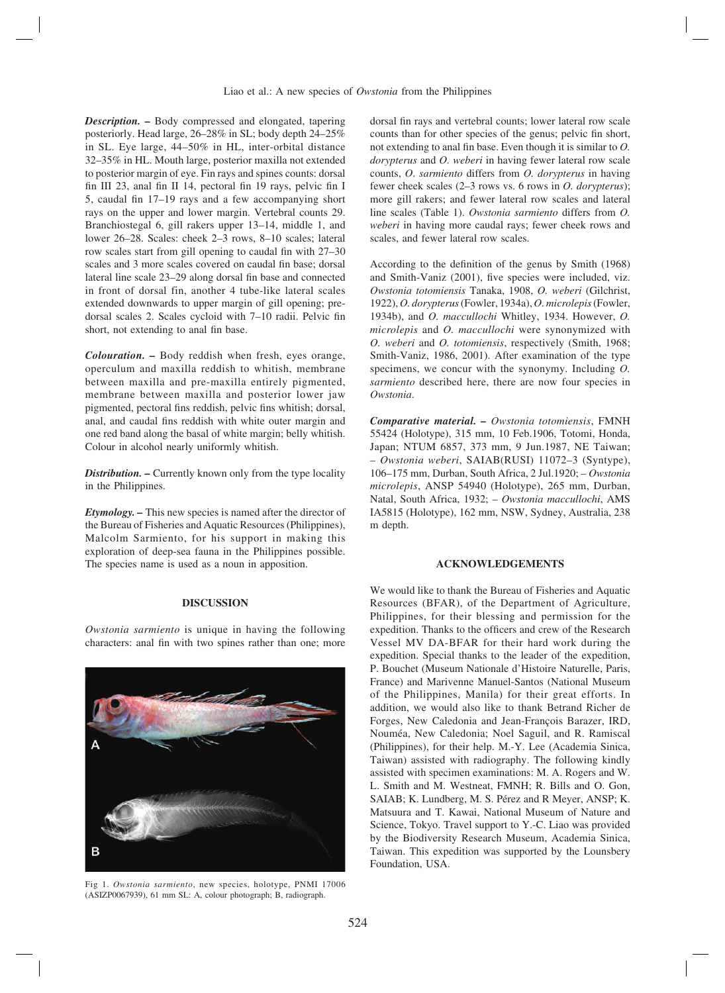*Description. –* Body compressed and elongated, tapering posteriorly. Head large, 26–28% in SL; body depth 24–25% in SL. Eye large, 44–50% in HL, inter-orbital distance 32–35% in HL. Mouth large, posterior maxilla not extended to posterior margin of eye. Fin rays and spines counts: dorsal fin III 23, anal fin II 14, pectoral fin 19 rays, pelvic fin I 5, caudal fin  $17-19$  rays and a few accompanying short rays on the upper and lower margin. Vertebral counts 29. Branchiostegal 6, gill rakers upper 13–14, middle 1, and lower 26–28. Scales: cheek 2–3 rows, 8–10 scales; lateral row scales start from gill opening to caudal fin with 27–30 scales and 3 more scales covered on caudal fin base; dorsal lateral line scale 23–29 along dorsal fin base and connected in front of dorsal fin, another 4 tube-like lateral scales extended downwards to upper margin of gill opening; predorsal scales 2. Scales cycloid with 7-10 radii. Pelvic fin short, not extending to anal fin base.

*Colouration. –* Body reddish when fresh, eyes orange, operculum and maxilla reddish to whitish, membrane between maxilla and pre-maxilla entirely pigmented, membrane between maxilla and posterior lower jaw pigmented, pectoral fins reddish, pelvic fins whitish; dorsal, anal, and caudal fins reddish with white outer margin and one red band along the basal of white margin; belly whitish. Colour in alcohol nearly uniformly whitish.

*Distribution. –* Currently known only from the type locality in the Philippines.

*Etymology. –* This new species is named after the director of the Bureau of Fisheries and Aquatic Resources (Philippines), Malcolm Sarmiento, for his support in making this exploration of deep-sea fauna in the Philippines possible. The species name is used as a noun in apposition.

## **DISCUSSION**

*Owstonia sarmiento* is unique in having the following characters: anal fin with two spines rather than one; more



Fig 1. *Owstonia sarmiento*, new species, holotype, PNMI 17006 (ASIZP0067939), 61 mm SL: A, colour photograph; B, radiograph.

dorsal fin rays and vertebral counts; lower lateral row scale counts than for other species of the genus; pelvic fin short, not extending to anal fin base. Even though it is similar to *O*. *dorypterus* and *O. weberi* in having fewer lateral row scale counts, *O*. *sarmiento* differs from *O. dorypterus* in having fewer cheek scales (2–3 rows vs. 6 rows in *O. dorypterus*); more gill rakers; and fewer lateral row scales and lateral line scales (Table 1). *Owstonia sarmiento* differs from *O. weberi* in having more caudal rays; fewer cheek rows and scales, and fewer lateral row scales.

According to the definition of the genus by Smith (1968) and Smith-Vaniz (2001), five species were included, viz. *Owstonia totomiensis* Tanaka, 1908, *O. weberi* (Gilchrist, 1922), *O. dorypterus* (Fowler, 1934a), *O. microlepis* (Fowler, 1934b), and *O. maccullochi* Whitley, 1934. However, *O. microlepis* and *O. maccullochi* were synonymized with *O. weberi* and *O. totomiensis*, respectively (Smith, 1968; Smith-Vaniz, 1986, 2001). After examination of the type specimens, we concur with the synonymy. Including *O. sarmiento* described here, there are now four species in *Owstonia*.

*Comparative material. – Owstonia totomiensis*, FMNH 55424 (Holotype), 315 mm, 10 Feb.1906, Totomi, Honda, Japan; NTUM 6857, 373 mm, 9 Jun.1987, NE Taiwan; – *Owstonia weberi*, SAIAB(RUSI) 11072–3 (Syntype), 106–175 mm, Durban, South Africa, 2 Jul.1920; – *Owstonia microlepis*, ANSP 54940 (Holotype), 265 mm, Durban, Natal, South Africa, 1932; – *Owstonia maccullochi*, AMS IA5815 (Holotype), 162 mm, NSW, Sydney, Australia, 238 m depth.

## **ACKNOWLEDGEMENTS**

We would like to thank the Bureau of Fisheries and Aquatic Resources (BFAR), of the Department of Agriculture, Philippines, for their blessing and permission for the expedition. Thanks to the officers and crew of the Research Vessel MV DA-BFAR for their hard work during the expedition. Special thanks to the leader of the expedition, P. Bouchet (Museum Nationale d'Histoire Naturelle, Paris, France) and Marivenne Manuel-Santos (National Museum of the Philippines, Manila) for their great efforts. In addition, we would also like to thank Betrand Richer de Forges, New Caledonia and Jean-François Barazer, IRD, Nouméa, New Caledonia; Noel Saguil, and R. Ramiscal (Philippines), for their help. M.-Y. Lee (Academia Sinica, Taiwan) assisted with radiography. The following kindly assisted with specimen examinations: M. A. Rogers and W. L. Smith and M. Westneat, FMNH; R. Bills and O. Gon, SAIAB; K. Lundberg, M. S. Pérez and R Meyer, ANSP; K. Matsuura and T. Kawai, National Museum of Nature and Science, Tokyo. Travel support to Y.-C. Liao was provided by the Biodiversity Research Museum, Academia Sinica, Taiwan. This expedition was supported by the Lounsbery Foundation, USA.